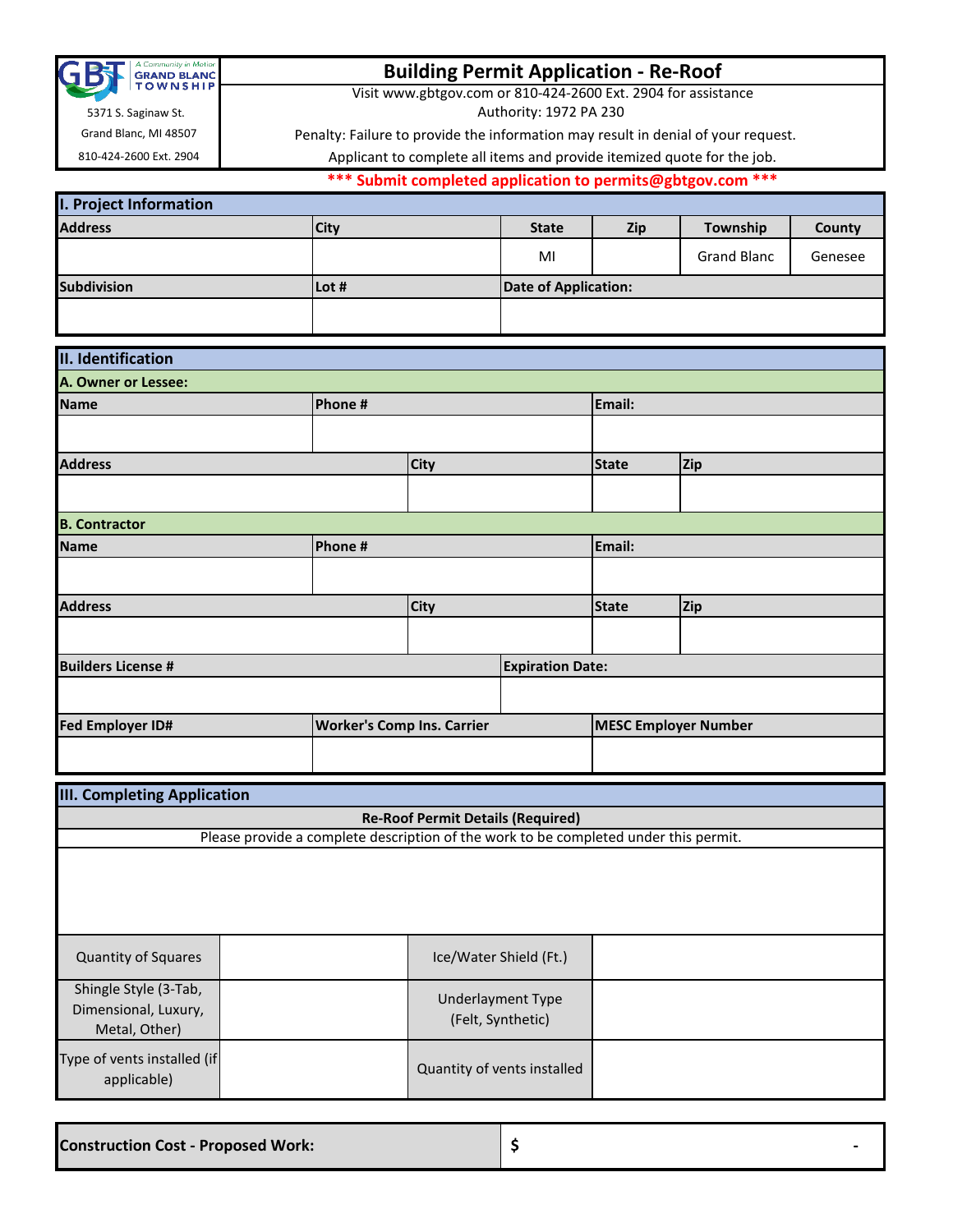| A Community in Motion<br><b>GRAND BLANC</b> |
|---------------------------------------------|
| <b>TOWNSHIP</b>                             |

# **Building Permit Application - Re-Roof**

Visit www.gbtgov.com or 810-424-2600 Ext. 2904 for assistance

Authority: 1972 PA 230

Penalty: Failure to provide the information may result in denial of your request.

Grand Blanc, MI 48507 810-424-2600 Ext. 2904

5371 S. Saginaw St.

**\*\*\* Submit completed application to permits@gbtgov.com \*\*\*** Applicant to complete all items and provide itemized quote for the job.

| <b>I. Project Information</b> |             |                      |            |                    |         |
|-------------------------------|-------------|----------------------|------------|--------------------|---------|
| <b>Address</b>                | <b>City</b> | <b>State</b>         | <b>Zip</b> | Township           | County  |
|                               |             | MI                   |            | <b>Grand Blanc</b> | Genesee |
| <b>Subdivision</b>            | Lot #       | Date of Application: |            |                    |         |
|                               |             |                      |            |                    |         |

| II. Identification        |                                   |  |                         |                             |     |  |
|---------------------------|-----------------------------------|--|-------------------------|-----------------------------|-----|--|
| A. Owner or Lessee:       |                                   |  |                         |                             |     |  |
| <b>Name</b>               | Phone #                           |  |                         | Email:                      |     |  |
|                           |                                   |  |                         |                             |     |  |
| <b>Address</b>            | <b>City</b>                       |  |                         | <b>State</b>                | Zip |  |
|                           |                                   |  |                         |                             |     |  |
| <b>B. Contractor</b>      |                                   |  |                         |                             |     |  |
| <b>Name</b>               | Phone #                           |  |                         | Email:                      |     |  |
|                           |                                   |  |                         |                             |     |  |
| <b>Address</b>            | <b>City</b>                       |  |                         | <b>State</b>                | Zip |  |
|                           |                                   |  |                         |                             |     |  |
| <b>Builders License #</b> |                                   |  | <b>Expiration Date:</b> |                             |     |  |
|                           |                                   |  |                         |                             |     |  |
| <b>Fed Employer ID#</b>   | <b>Worker's Comp Ins. Carrier</b> |  |                         | <b>MESC Employer Number</b> |     |  |
|                           |                                   |  |                         |                             |     |  |

| <b>III. Completing Application</b>                             |                                                                                      |                                        |  |  |  |  |  |
|----------------------------------------------------------------|--------------------------------------------------------------------------------------|----------------------------------------|--|--|--|--|--|
|                                                                | <b>Re-Roof Permit Details (Required)</b>                                             |                                        |  |  |  |  |  |
|                                                                | Please provide a complete description of the work to be completed under this permit. |                                        |  |  |  |  |  |
|                                                                |                                                                                      |                                        |  |  |  |  |  |
| <b>Quantity of Squares</b>                                     |                                                                                      | Ice/Water Shield (Ft.)                 |  |  |  |  |  |
| Shingle Style (3-Tab,<br>Dimensional, Luxury,<br>Metal, Other) |                                                                                      | Underlayment Type<br>(Felt, Synthetic) |  |  |  |  |  |
| Type of vents installed (if<br>applicable)                     |                                                                                      | Quantity of vents installed            |  |  |  |  |  |

**Construction Cost - Proposed Work: \$ -**